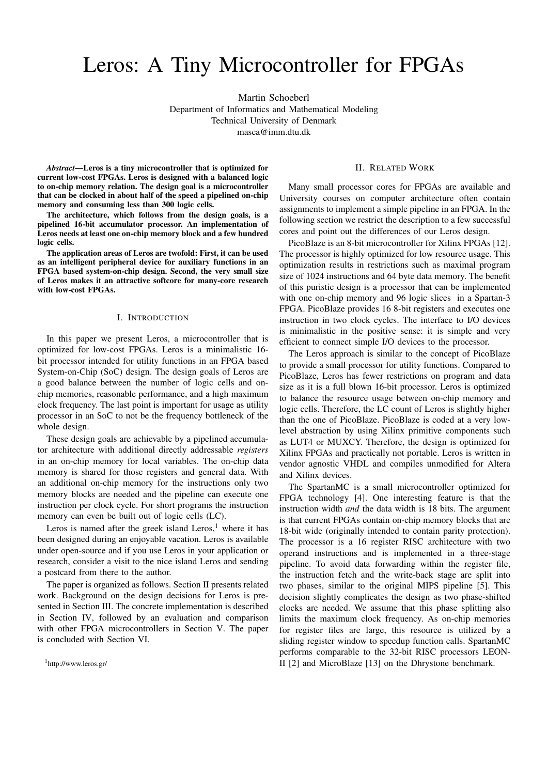# Leros: A Tiny Microcontroller for FPGAs

Martin Schoeberl

Department of Informatics and Mathematical Modeling Technical University of Denmark masca@imm.dtu.dk

*Abstract*—Leros is a tiny microcontroller that is optimized for current low-cost FPGAs. Leros is designed with a balanced logic to on-chip memory relation. The design goal is a microcontroller that can be clocked in about half of the speed a pipelined on-chip memory and consuming less than 300 logic cells.

The architecture, which follows from the design goals, is a pipelined 16-bit accumulator processor. An implementation of Leros needs at least one on-chip memory block and a few hundred logic cells.

The application areas of Leros are twofold: First, it can be used as an intelligent peripheral device for auxiliary functions in an FPGA based system-on-chip design. Second, the very small size of Leros makes it an attractive softcore for many-core research with low-cost FPGAs.

#### I. INTRODUCTION

In this paper we present Leros, a microcontroller that is optimized for low-cost FPGAs. Leros is a minimalistic 16 bit processor intended for utility functions in an FPGA based System-on-Chip (SoC) design. The design goals of Leros are a good balance between the number of logic cells and onchip memories, reasonable performance, and a high maximum clock frequency. The last point is important for usage as utility processor in an SoC to not be the frequency bottleneck of the whole design.

These design goals are achievable by a pipelined accumulator architecture with additional directly addressable *registers* in an on-chip memory for local variables. The on-chip data memory is shared for those registers and general data. With an additional on-chip memory for the instructions only two memory blocks are needed and the pipeline can execute one instruction per clock cycle. For short programs the instruction memory can even be built out of logic cells (LC).

Leros is named after the greek island Leros, $<sup>1</sup>$  where it has</sup> been designed during an enjoyable vacation. Leros is available under open-source and if you use Leros in your application or research, consider a visit to the nice island Leros and sending a postcard from there to the author.

The paper is organized as follows. Section II presents related work. Background on the design decisions for Leros is presented in Section III. The concrete implementation is described in Section IV, followed by an evaluation and comparison with other FPGA microcontrollers in Section V. The paper is concluded with Section VI.

<sup>1</sup>http://www.leros.gr/

## II. RELATED WORK

Many small processor cores for FPGAs are available and University courses on computer architecture often contain assignments to implement a simple pipeline in an FPGA. In the following section we restrict the description to a few successful cores and point out the differences of our Leros design.

PicoBlaze is an 8-bit microcontroller for Xilinx FPGAs [12]. The processor is highly optimized for low resource usage. This optimization results in restrictions such as maximal program size of 1024 instructions and 64 byte data memory. The benefit of this puristic design is a processor that can be implemented with one on-chip memory and 96 logic slices in a Spartan-3 FPGA. PicoBlaze provides 16 8-bit registers and executes one instruction in two clock cycles. The interface to I/O devices is minimalistic in the positive sense: it is simple and very efficient to connect simple I/O devices to the processor.

The Leros approach is similar to the concept of PicoBlaze to provide a small processor for utility functions. Compared to PicoBlaze, Leros has fewer restrictions on program and data size as it is a full blown 16-bit processor. Leros is optimized to balance the resource usage between on-chip memory and logic cells. Therefore, the LC count of Leros is slightly higher than the one of PicoBlaze. PicoBlaze is coded at a very lowlevel abstraction by using Xilinx primitive components such as LUT4 or MUXCY. Therefore, the design is optimized for Xilinx FPGAs and practically not portable. Leros is written in vendor agnostic VHDL and compiles unmodified for Altera and Xilinx devices.

The SpartanMC is a small microcontroller optimized for FPGA technology [4]. One interesting feature is that the instruction width *and* the data width is 18 bits. The argument is that current FPGAs contain on-chip memory blocks that are 18-bit wide (originally intended to contain parity protection). The processor is a 16 register RISC architecture with two operand instructions and is implemented in a three-stage pipeline. To avoid data forwarding within the register file, the instruction fetch and the write-back stage are split into two phases, similar to the original MIPS pipeline [5]. This decision slightly complicates the design as two phase-shifted clocks are needed. We assume that this phase splitting also limits the maximum clock frequency. As on-chip memories for register files are large, this resource is utilized by a sliding register window to speedup function calls. SpartanMC performs comparable to the 32-bit RISC processors LEON-II [2] and MicroBlaze [13] on the Dhrystone benchmark.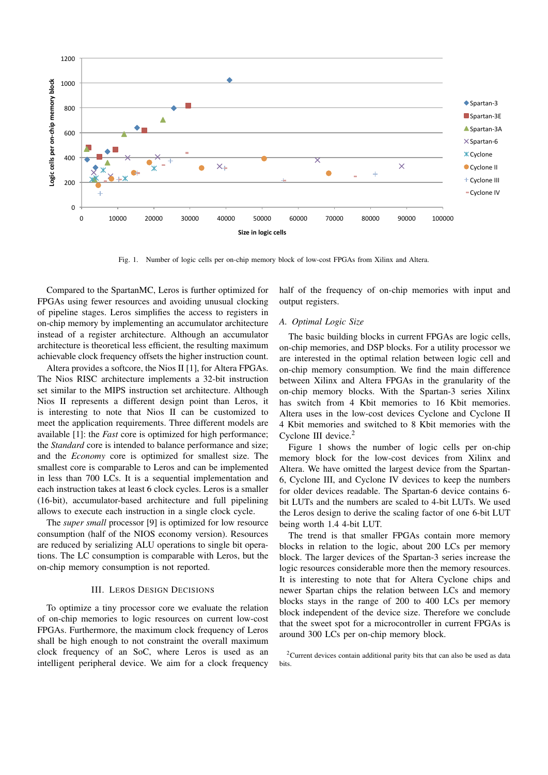

Fig. 1. Number of logic cells per on-chip memory block of low-cost FPGAs from Xilinx and Altera.

Compared to the SpartanMC, Leros is further optimized for FPGAs using fewer resources and avoiding unusual clocking of pipeline stages. Leros simplifies the access to registers in on-chip memory by implementing an accumulator architecture instead of a register architecture. Although an accumulator architecture is theoretical less efficient, the resulting maximum achievable clock frequency offsets the higher instruction count.

Altera provides a softcore, the Nios II [1], for Altera FPGAs. The Nios RISC architecture implements a 32-bit instruction set similar to the MIPS instruction set architecture. Although Nios II represents a different design point than Leros, it is interesting to note that Nios II can be customized to meet the application requirements. Three different models are available [1]: the *Fast* core is optimized for high performance; the *Standard* core is intended to balance performance and size; and the *Economy* core is optimized for smallest size. The smallest core is comparable to Leros and can be implemented in less than 700 LCs. It is a sequential implementation and each instruction takes at least 6 clock cycles. Leros is a smaller (16-bit), accumulator-based architecture and full pipelining allows to execute each instruction in a single clock cycle.

The *super small* processor [9] is optimized for low resource consumption (half of the NIOS economy version). Resources are reduced by serializing ALU operations to single bit operations. The LC consumption is comparable with Leros, but the on-chip memory consumption is not reported.

# III. LEROS DESIGN DECISIONS

To optimize a tiny processor core we evaluate the relation of on-chip memories to logic resources on current low-cost FPGAs. Furthermore, the maximum clock frequency of Leros shall be high enough to not constraint the overall maximum clock frequency of an SoC, where Leros is used as an intelligent peripheral device. We aim for a clock frequency

half of the frequency of on-chip memories with input and output registers.

#### *A. Optimal Logic Size*

The basic building blocks in current FPGAs are logic cells, on-chip memories, and DSP blocks. For a utility processor we are interested in the optimal relation between logic cell and on-chip memory consumption. We find the main difference between Xilinx and Altera FPGAs in the granularity of the on-chip memory blocks. With the Spartan-3 series Xilinx has switch from 4 Kbit memories to 16 Kbit memories. Altera uses in the low-cost devices Cyclone and Cyclone II 4 Kbit memories and switched to 8 Kbit memories with the Cyclone III device. $2$ 

Figure 1 shows the number of logic cells per on-chip memory block for the low-cost devices from Xilinx and Altera. We have omitted the largest device from the Spartan-6, Cyclone III, and Cyclone IV devices to keep the numbers for older devices readable. The Spartan-6 device contains 6 bit LUTs and the numbers are scaled to 4-bit LUTs. We used the Leros design to derive the scaling factor of one 6-bit LUT being worth 1.4 4-bit LUT.

The trend is that smaller FPGAs contain more memory blocks in relation to the logic, about 200 LCs per memory block. The larger devices of the Spartan-3 series increase the logic resources considerable more then the memory resources. It is interesting to note that for Altera Cyclone chips and newer Spartan chips the relation between LCs and memory blocks stays in the range of 200 to 400 LCs per memory block independent of the device size. Therefore we conclude that the sweet spot for a microcontroller in current FPGAs is around 300 LCs per on-chip memory block.

<sup>&</sup>lt;sup>2</sup>Current devices contain additional parity bits that can also be used as data bits.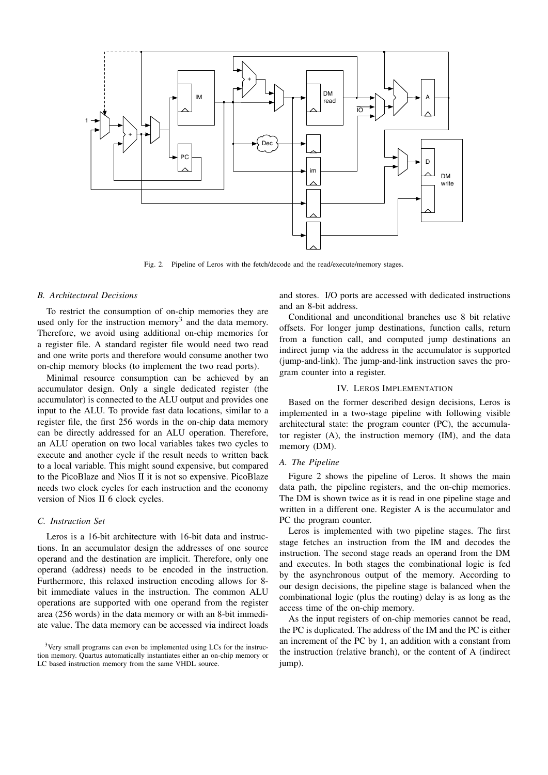

Fig. 2. Pipeline of Leros with the fetch/decode and the read/execute/memory stages.

#### *B. Architectural Decisions*

To restrict the consumption of on-chip memories they are used only for the instruction memory<sup>3</sup> and the data memory. Therefore, we avoid using additional on-chip memories for a register file. A standard register file would need two read and one write ports and therefore would consume another two on-chip memory blocks (to implement the two read ports).

Minimal resource consumption can be achieved by an accumulator design. Only a single dedicated register (the accumulator) is connected to the ALU output and provides one input to the ALU. To provide fast data locations, similar to a register file, the first 256 words in the on-chip data memory can be directly addressed for an ALU operation. Therefore, an ALU operation on two local variables takes two cycles to execute and another cycle if the result needs to written back to a local variable. This might sound expensive, but compared to the PicoBlaze and Nios II it is not so expensive. PicoBlaze needs two clock cycles for each instruction and the economy version of Nios II 6 clock cycles.

## *C. Instruction Set*

Leros is a 16-bit architecture with 16-bit data and instructions. In an accumulator design the addresses of one source operand and the destination are implicit. Therefore, only one operand (address) needs to be encoded in the instruction. Furthermore, this relaxed instruction encoding allows for 8 bit immediate values in the instruction. The common ALU operations are supported with one operand from the register area (256 words) in the data memory or with an 8-bit immediate value. The data memory can be accessed via indirect loads

and stores. I/O ports are accessed with dedicated instructions and an 8-bit address.

Conditional and unconditional branches use 8 bit relative offsets. For longer jump destinations, function calls, return from a function call, and computed jump destinations an indirect jump via the address in the accumulator is supported (jump-and-link). The jump-and-link instruction saves the program counter into a register.

# IV. LEROS IMPLEMENTATION

Based on the former described design decisions, Leros is implemented in a two-stage pipeline with following visible architectural state: the program counter (PC), the accumulator register (A), the instruction memory (IM), and the data memory (DM).

## *A. The Pipeline*

Figure 2 shows the pipeline of Leros. It shows the main data path, the pipeline registers, and the on-chip memories. The DM is shown twice as it is read in one pipeline stage and written in a different one. Register A is the accumulator and PC the program counter.

Leros is implemented with two pipeline stages. The first stage fetches an instruction from the IM and decodes the instruction. The second stage reads an operand from the DM and executes. In both stages the combinational logic is fed by the asynchronous output of the memory. According to our design decisions, the pipeline stage is balanced when the combinational logic (plus the routing) delay is as long as the access time of the on-chip memory.

As the input registers of on-chip memories cannot be read, the PC is duplicated. The address of the IM and the PC is either an increment of the PC by 1, an addition with a constant from the instruction (relative branch), or the content of A (indirect jump).

<sup>&</sup>lt;sup>3</sup>Very small programs can even be implemented using LCs for the instruction memory. Quartus automatically instantiates either an on-chip memory or LC based instruction memory from the same VHDL source.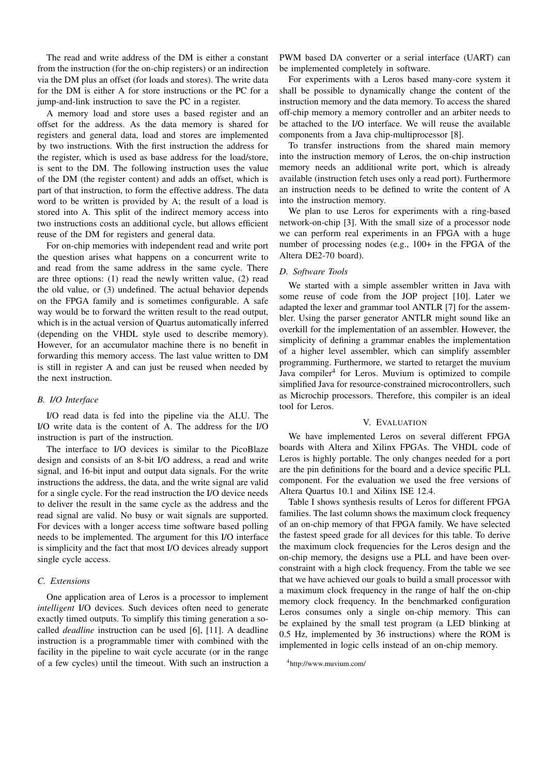The read and write address of the DM is either a constant from the instruction (for the on-chip registers) or an indirection via the DM plus an offset (for loads and stores). The write data for the DM is either A for store instructions or the PC for a jump-and-link instruction to save the PC in a register.

A memory load and store uses a based register and an offset for the address. As the data memory is shared for registers and general data, load and stores are implemented by two instructions. With the first instruction the address for the register, which is used as base address for the load/store, is sent to the DM. The following instruction uses the value of the DM (the register content) and adds an offset, which is part of that instruction, to form the effective address. The data word to be written is provided by A; the result of a load is stored into A. This split of the indirect memory access into two instructions costs an additional cycle, but allows efficient reuse of the DM for registers and general data.

For on-chip memories with independent read and write port the question arises what happens on a concurrent write to and read from the same address in the same cycle. There are three options: (1) read the newly written value, (2) read the old value, or (3) undefined. The actual behavior depends on the FPGA family and is sometimes configurable. A safe way would be to forward the written result to the read output, which is in the actual version of Quartus automatically inferred (depending on the VHDL style used to describe memory). However, for an accumulator machine there is no benefit in forwarding this memory access. The last value written to DM is still in register A and can just be reused when needed by the next instruction.

## *B. I/O Interface*

I/O read data is fed into the pipeline via the ALU. The I/O write data is the content of A. The address for the I/O instruction is part of the instruction.

The interface to I/O devices is similar to the PicoBlaze design and consists of an 8-bit I/O address, a read and write signal, and 16-bit input and output data signals. For the write instructions the address, the data, and the write signal are valid for a single cycle. For the read instruction the I/O device needs to deliver the result in the same cycle as the address and the read signal are valid. No busy or wait signals are supported. For devices with a longer access time software based polling needs to be implemented. The argument for this I/O interface is simplicity and the fact that most I/O devices already support single cycle access.

# *C. Extensions*

One application area of Leros is a processor to implement *intelligent* I/O devices. Such devices often need to generate exactly timed outputs. To simplify this timing generation a socalled *deadline* instruction can be used [6], [11]. A deadline instruction is a programmable timer with combined with the facility in the pipeline to wait cycle accurate (or in the range of a few cycles) until the timeout. With such an instruction a

PWM based DA converter or a serial interface (UART) can be implemented completely in software.

For experiments with a Leros based many-core system it shall be possible to dynamically change the content of the instruction memory and the data memory. To access the shared off-chip memory a memory controller and an arbiter needs to be attached to the I/O interface. We will reuse the available components from a Java chip-multiprocessor [8].

To transfer instructions from the shared main memory into the instruction memory of Leros, the on-chip instruction memory needs an additional write port, which is already available (instruction fetch uses only a read port). Furthermore an instruction needs to be defined to write the content of A into the instruction memory.

We plan to use Leros for experiments with a ring-based network-on-chip [3]. With the small size of a processor node we can perform real experiments in an FPGA with a huge number of processing nodes (e.g., 100+ in the FPGA of the Altera DE2-70 board).

## *D. Software Tools*

We started with a simple assembler written in Java with some reuse of code from the JOP project [10]. Later we adapted the lexer and grammar tool ANTLR [7] for the assembler. Using the parser generator ANTLR might sound like an overkill for the implementation of an assembler. However, the simplicity of defining a grammar enables the implementation of a higher level assembler, which can simplify assembler programming. Furthermore, we started to retarget the muvium Java compiler<sup>4</sup> for Leros. Muvium is optimized to compile simplified Java for resource-constrained microcontrollers, such as Microchip processors. Therefore, this compiler is an ideal tool for Leros.

#### V. EVALUATION

We have implemented Leros on several different FPGA boards with Altera and Xilinx FPGAs. The VHDL code of Leros is highly portable. The only changes needed for a port are the pin definitions for the board and a device specific PLL component. For the evaluation we used the free versions of Altera Quartus 10.1 and Xilinx ISE 12.4.

Table I shows synthesis results of Leros for different FPGA families. The last column shows the maximum clock frequency of an on-chip memory of that FPGA family. We have selected the fastest speed grade for all devices for this table. To derive the maximum clock frequencies for the Leros design and the on-chip memory, the designs use a PLL and have been overconstraint with a high clock frequency. From the table we see that we have achieved our goals to build a small processor with a maximum clock frequency in the range of half the on-chip memory clock frequency. In the benchmarked configuration Leros consumes only a single on-chip memory. This can be explained by the small test program (a LED blinking at 0.5 Hz, implemented by 36 instructions) where the ROM is implemented in logic cells instead of an on-chip memory.

<sup>4</sup>http://www.muvium.com/